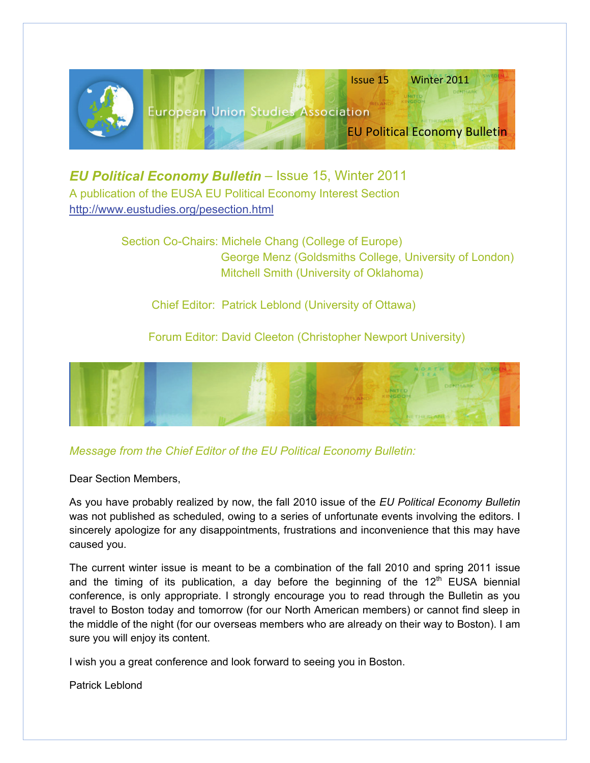

*EU Political Economy Bulletin – Issue 15, Winter 2011* A publication of the EUSA EU Political Economy Interest Section <http://www.eustudies.org/pesection.html>

> Section Co-Chairs: Michele Chang (College of Europe) George Menz (Goldsmiths College, University of London) Mitchell Smith (University of Oklahoma)

Chief Editor: Patrick Leblond (University of Ottawa)

Forum Editor: David Cleeton (Christopher Newport University)



# *Message from the Chief Editor of the EU Political Economy Bulletin:*

Dear Section Members,

As you have probably realized by now, the fall 2010 issue of the *EU Political Economy Bulletin* was not published as scheduled, owing to a series of unfortunate events involving the editors. I sincerely apologize for any disappointments, frustrations and inconvenience that this may have caused you.

The current winter issue is meant to be a combination of the fall 2010 and spring 2011 issue and the timing of its publication, a day before the beginning of the  $12<sup>th</sup>$  EUSA biennial conference, is only appropriate. I strongly encourage you to read through the Bulletin as you travel to Boston today and tomorrow (for our North American members) or cannot find sleep in the middle of the night (for our overseas members who are already on their way to Boston). I am sure you will enjoy its content.

I wish you a great conference and look forward to seeing you in Boston.

Patrick Leblond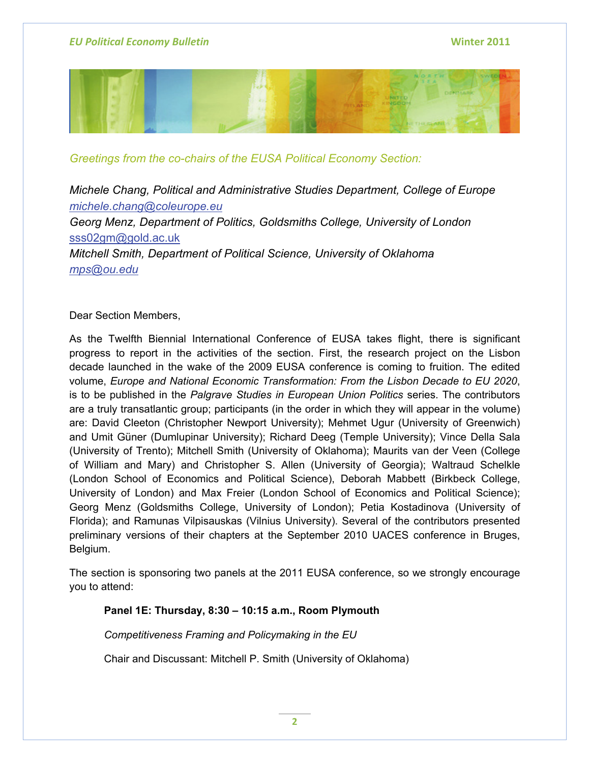

*Greetings from the co-chairs of the EUSA Political Economy Section:* 

*Michele Chang, Political and Administrative Studies Department, College of Europe [michele.chang@coleurope.eu](mailto:michele.chang@coleurope.eu) Georg Menz, Department of Politics, Goldsmiths College, University of London*  [sss02gm@gold.ac.uk](mailto:sss02gm@gold.ac.uk) *Mitchell Smith, Department of Political Science, University of Oklahoma [mps@ou.edu](mailto:mps@ou.edu)*

Dear Section Members,

As the Twelfth Biennial International Conference of EUSA takes flight, there is significant progress to report in the activities of the section. First, the research project on the Lisbon decade launched in the wake of the 2009 EUSA conference is coming to fruition. The edited volume, *Europe and National Economic Transformation: From the Lisbon Decade to EU 2020*, is to be published in the *Palgrave Studies in European Union Politics* series. The contributors are a truly transatlantic group; participants (in the order in which they will appear in the volume) are: David Cleeton (Christopher Newport University); Mehmet Ugur (University of Greenwich) and Umit Güner (Dumlupinar University); Richard Deeg (Temple University); Vince Della Sala (University of Trento); Mitchell Smith (University of Oklahoma); Maurits van der Veen (College of William and Mary) and Christopher S. Allen (University of Georgia); Waltraud Schelkle (London School of Economics and Political Science), Deborah Mabbett (Birkbeck College, University of London) and Max Freier (London School of Economics and Political Science); Georg Menz (Goldsmiths College, University of London); Petia Kostadinova (University of Florida); and Ramunas Vilpisauskas (Vilnius University). Several of the contributors presented preliminary versions of their chapters at the September 2010 UACES conference in Bruges, Belgium.

The section is sponsoring two panels at the 2011 EUSA conference, so we strongly encourage you to attend:

# **Panel 1E: Thursday, 8:30 – 10:15 a.m., Room Plymouth**

*Competitiveness Framing and Policymaking in the EU* 

Chair and Discussant: Mitchell P. Smith (University of Oklahoma)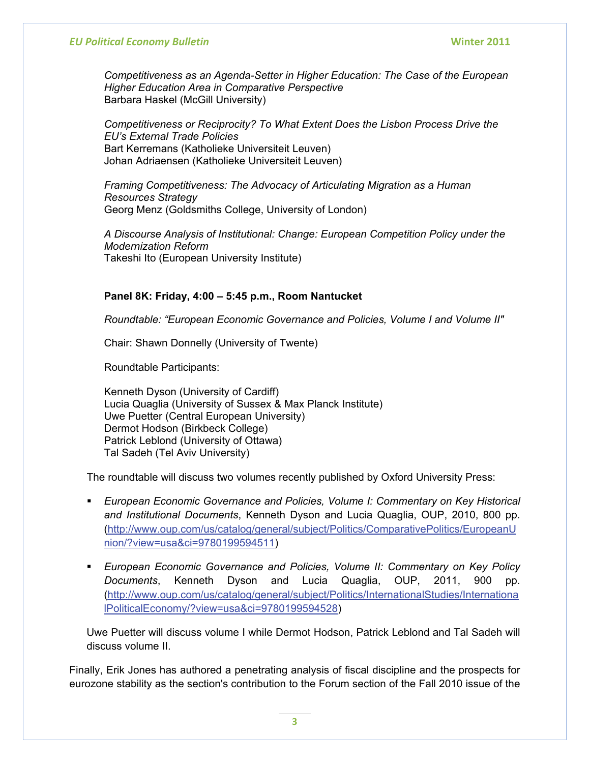*Competitiveness as an Agenda-Setter in Higher Education: The Case of the European Higher Education Area in Comparative Perspective*  Barbara Haskel (McGill University)

*Competitiveness or Reciprocity? To What Extent Does the Lisbon Process Drive the EU's External Trade Policies*  Bart Kerremans (Katholieke Universiteit Leuven) Johan Adriaensen (Katholieke Universiteit Leuven)

*Framing Competitiveness: The Advocacy of Articulating Migration as a Human Resources Strategy*  Georg Menz (Goldsmiths College, University of London)

*A Discourse Analysis of Institutional: Change: European Competition Policy under the Modernization Reform*  Takeshi Ito (European University Institute)

## **Panel 8K: Friday, 4:00 – 5:45 p.m., Room Nantucket**

*Roundtable: "European Economic Governance and Policies, Volume I and Volume II"* 

Chair: Shawn Donnelly (University of Twente)

Roundtable Participants:

Kenneth Dyson (University of Cardiff) Lucia Quaglia (University of Sussex & Max Planck Institute) Uwe Puetter (Central European University) Dermot Hodson (Birkbeck College) Patrick Leblond (University of Ottawa) Tal Sadeh (Tel Aviv University)

The roundtable will discuss two volumes recently published by Oxford University Press:

- **European Economic Governance and Policies, Volume I: Commentary on Key Historical** *and Institutional Documents*, Kenneth Dyson and Lucia Quaglia, OUP, 2010, 800 pp. ([http://www.oup.com/us/catalog/general/subject/Politics/ComparativePolitics/EuropeanU](http://www.oup.com/us/catalog/general/subject/Politics/ComparativePolitics/EuropeanUnion/?view=usa&ci=9780199594511) [nion/?view=usa&ci=9780199594511](http://www.oup.com/us/catalog/general/subject/Politics/ComparativePolitics/EuropeanUnion/?view=usa&ci=9780199594511))
- *European Economic Governance and Policies, Volume II: Commentary on Key Policy Documents*, Kenneth Dyson and Lucia Quaglia, OUP, 2011, 900 pp. ([http://www.oup.com/us/catalog/general/subject/Politics/InternationalStudies/Internationa](http://www.oup.com/us/catalog/general/subject/Politics/InternationalStudies/InternationalPoliticalEconomy/?view=usa&ci=9780199594528) [lPoliticalEconomy/?view=usa&ci=9780199594528\)](http://www.oup.com/us/catalog/general/subject/Politics/InternationalStudies/InternationalPoliticalEconomy/?view=usa&ci=9780199594528)

Uwe Puetter will discuss volume I while Dermot Hodson, Patrick Leblond and Tal Sadeh will discuss volume II.

Finally, Erik Jones has authored a penetrating analysis of fiscal discipline and the prospects for eurozone stability as the section's contribution to the Forum section of the Fall 2010 issue of the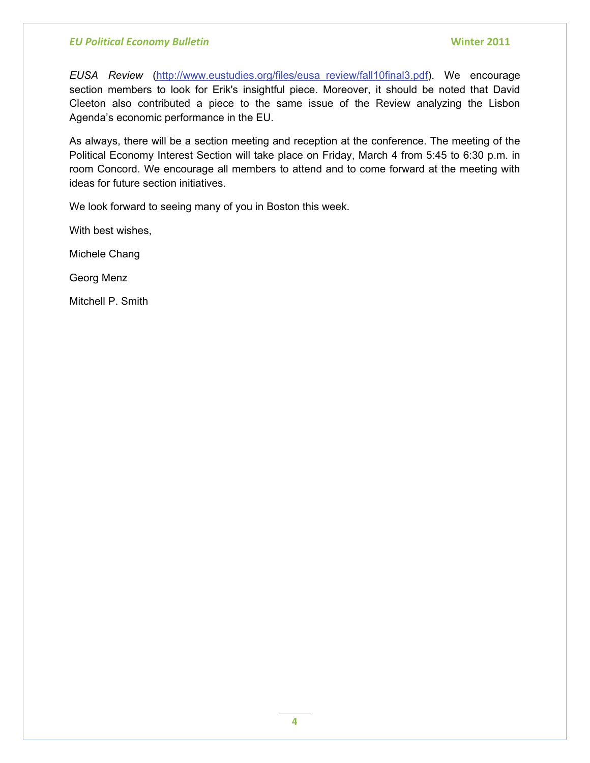*EUSA Review* [\(http://www.eustudies.org/files/eusa\\_review/fall10final3.pdf](http://www.eustudies.org/files/eusa_review/fall10final3.pdf)). We encourage section members to look for Erik's insightful piece. Moreover, it should be noted that David Cleeton also contributed a piece to the same issue of the Review analyzing the Lisbon Agenda's economic performance in the EU.

As always, there will be a section meeting and reception at the conference. The meeting of the Political Economy Interest Section will take place on Friday, March 4 from 5:45 to 6:30 p.m. in room Concord. We encourage all members to attend and to come forward at the meeting with ideas for future section initiatives.

We look forward to seeing many of you in Boston this week.

With best wishes,

Michele Chang

Georg Menz

Mitchell P. Smith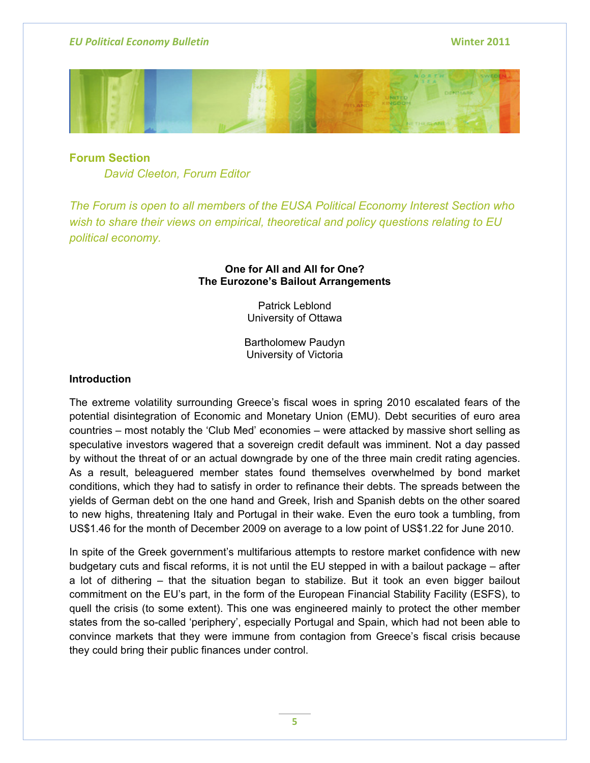

**Forum Section** *David Cleeton, Forum Editor* 

*The Forum is open to all members of the EUSA Political Economy Interest Section who wish to share their views on empirical, theoretical and policy questions relating to EU political economy.*

## **One for All and All for One? The Eurozone's Bailout Arrangements**

Patrick Leblond University of Ottawa

Bartholomew Paudyn University of Victoria

## **Introduction**

The extreme volatility surrounding Greece's fiscal woes in spring 2010 escalated fears of the potential disintegration of Economic and Monetary Union (EMU). Debt securities of euro area countries – most notably the 'Club Med' economies – were attacked by massive short selling as speculative investors wagered that a sovereign credit default was imminent. Not a day passed by without the threat of or an actual downgrade by one of the three main credit rating agencies. As a result, beleaguered member states found themselves overwhelmed by bond market conditions, which they had to satisfy in order to refinance their debts. The spreads between the yields of German debt on the one hand and Greek, Irish and Spanish debts on the other soared to new highs, threatening Italy and Portugal in their wake. Even the euro took a tumbling, from US\$1.46 for the month of December 2009 on average to a low point of US\$1.22 for June 2010.

In spite of the Greek government's multifarious attempts to restore market confidence with new budgetary cuts and fiscal reforms, it is not until the EU stepped in with a bailout package – after a lot of dithering – that the situation began to stabilize. But it took an even bigger bailout commitment on the EU's part, in the form of the European Financial Stability Facility (ESFS), to quell the crisis (to some extent). This one was engineered mainly to protect the other member states from the so-called 'periphery', especially Portugal and Spain, which had not been able to convince markets that they were immune from contagion from Greece's fiscal crisis because they could bring their public finances under control.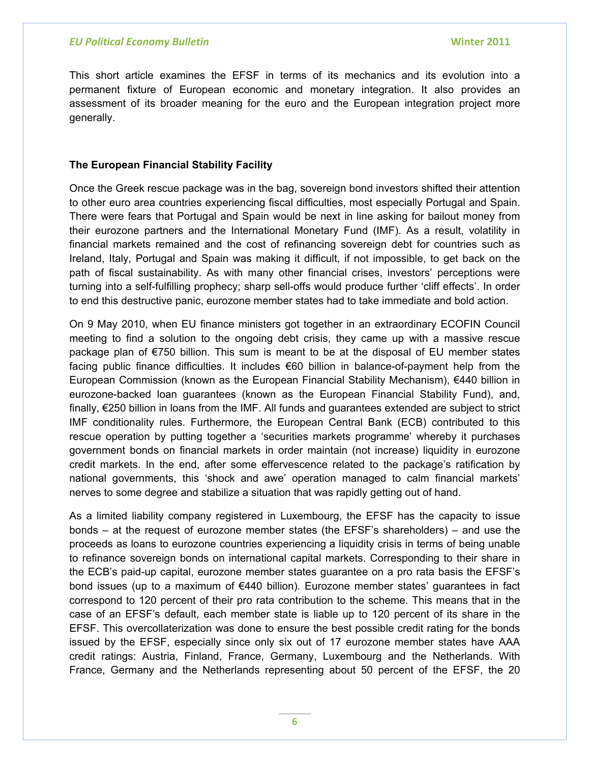This short article examines the EFSF in terms of its mechanics and its evolution into a permanent fixture of European economic and monetary integration. It also provides an assessment of its broader meaning for the euro and the European integration project more generally.

## **The European Financial Stability Facility**

Once the Greek rescue package was in the bag, sovereign bond investors shifted their attention to other euro area countries experiencing fiscal difficulties, most especially Portugal and Spain. There were fears that Portugal and Spain would be next in line asking for bailout money from their eurozone partners and the International Monetary Fund (IMF). As a result, volatility in financial markets remained and the cost of refinancing sovereign debt for countries such as Ireland, Italy, Portugal and Spain was making it difficult, if not impossible, to get back on the path of fiscal sustainability. As with many other financial crises, investors' perceptions were turning into a self-fulfilling prophecy; sharp sell-offs would produce further 'cliff effects'. In order to end this destructive panic, eurozone member states had to take immediate and bold action.

On 9 May 2010, when EU finance ministers got together in an extraordinary ECOFIN Council meeting to find a solution to the ongoing debt crisis, they came up with a massive rescue package plan of €750 billion. This sum is meant to be at the disposal of EU member states facing public finance difficulties. It includes €60 billion in balance-of-payment help from the European Commission (known as the European Financial Stability Mechanism), €440 billion in eurozone-backed loan guarantees (known as the European Financial Stability Fund), and, finally, €250 billion in loans from the IMF. All funds and guarantees extended are subject to strict IMF conditionality rules. Furthermore, the European Central Bank (ECB) contributed to this rescue operation by putting together a 'securities markets programme' whereby it purchases government bonds on financial markets in order maintain (not increase) liquidity in eurozone credit markets. In the end, after some effervescence related to the package's ratification by national governments, this 'shock and awe' operation managed to calm financial markets' nerves to some degree and stabilize a situation that was rapidly getting out of hand.

As a limited liability company registered in Luxembourg, the EFSF has the capacity to issue bonds – at the request of eurozone member states (the EFSF's shareholders) – and use the proceeds as loans to eurozone countries experiencing a liquidity crisis in terms of being unable to refinance sovereign bonds on international capital markets. Corresponding to their share in the ECB's paid-up capital, eurozone member states guarantee on a pro rata basis the EFSF's bond issues (up to a maximum of €440 billion). Eurozone member states' guarantees in fact correspond to 120 percent of their pro rata contribution to the scheme. This means that in the case of an EFSF's default, each member state is liable up to 120 percent of its share in the EFSF. This overcollaterization was done to ensure the best possible credit rating for the bonds issued by the EFSF, especially since only six out of 17 eurozone member states have AAA credit ratings: Austria, Finland, France, Germany, Luxembourg and the Netherlands. With France, Germany and the Netherlands representing about 50 percent of the EFSF, the 20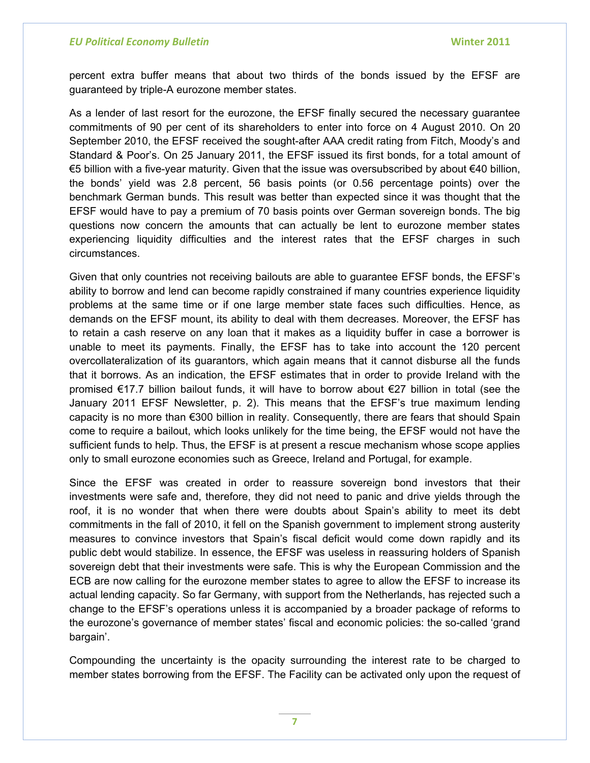percent extra buffer means that about two thirds of the bonds issued by the EFSF are guaranteed by triple-A eurozone member states.

As a lender of last resort for the eurozone, the EFSF finally secured the necessary guarantee commitments of 90 per cent of its shareholders to enter into force on 4 August 2010. On 20 September 2010, the EFSF received the sought-after AAA credit rating from Fitch, Moody's and Standard & Poor's. On 25 January 2011, the EFSF issued its first bonds, for a total amount of €5 billion with a five-year maturity. Given that the issue was oversubscribed by about €40 billion, the bonds' yield was 2.8 percent, 56 basis points (or 0.56 percentage points) over the benchmark German bunds. This result was better than expected since it was thought that the EFSF would have to pay a premium of 70 basis points over German sovereign bonds. The big questions now concern the amounts that can actually be lent to eurozone member states experiencing liquidity difficulties and the interest rates that the EFSF charges in such circumstances.

Given that only countries not receiving bailouts are able to guarantee EFSF bonds, the EFSF's ability to borrow and lend can become rapidly constrained if many countries experience liquidity problems at the same time or if one large member state faces such difficulties. Hence, as demands on the EFSF mount, its ability to deal with them decreases. Moreover, the EFSF has to retain a cash reserve on any loan that it makes as a liquidity buffer in case a borrower is unable to meet its payments. Finally, the EFSF has to take into account the 120 percent overcollateralization of its guarantors, which again means that it cannot disburse all the funds that it borrows. As an indication, the EFSF estimates that in order to provide Ireland with the promised €17.7 billion bailout funds, it will have to borrow about €27 billion in total (see the January 2011 EFSF Newsletter, p. 2). This means that the EFSF's true maximum lending capacity is no more than €300 billion in reality. Consequently, there are fears that should Spain come to require a bailout, which looks unlikely for the time being, the EFSF would not have the sufficient funds to help. Thus, the EFSF is at present a rescue mechanism whose scope applies only to small eurozone economies such as Greece, Ireland and Portugal, for example.

Since the EFSF was created in order to reassure sovereign bond investors that their investments were safe and, therefore, they did not need to panic and drive yields through the roof, it is no wonder that when there were doubts about Spain's ability to meet its debt commitments in the fall of 2010, it fell on the Spanish government to implement strong austerity measures to convince investors that Spain's fiscal deficit would come down rapidly and its public debt would stabilize. In essence, the EFSF was useless in reassuring holders of Spanish sovereign debt that their investments were safe. This is why the European Commission and the ECB are now calling for the eurozone member states to agree to allow the EFSF to increase its actual lending capacity. So far Germany, with support from the Netherlands, has rejected such a change to the EFSF's operations unless it is accompanied by a broader package of reforms to the eurozone's governance of member states' fiscal and economic policies: the so-called 'grand bargain'.

Compounding the uncertainty is the opacity surrounding the interest rate to be charged to member states borrowing from the EFSF. The Facility can be activated only upon the request of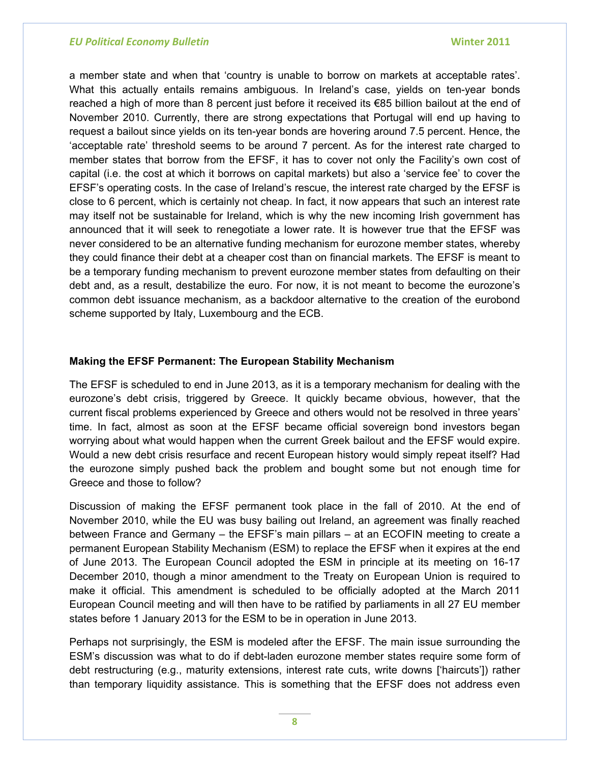a member state and when that 'country is unable to borrow on markets at acceptable rates'. What this actually entails remains ambiguous. In Ireland's case, yields on ten-year bonds reached a high of more than 8 percent just before it received its €85 billion bailout at the end of November 2010. Currently, there are strong expectations that Portugal will end up having to request a bailout since yields on its ten-year bonds are hovering around 7.5 percent. Hence, the 'acceptable rate' threshold seems to be around 7 percent. As for the interest rate charged to member states that borrow from the EFSF, it has to cover not only the Facility's own cost of capital (i.e. the cost at which it borrows on capital markets) but also a 'service fee' to cover the EFSF's operating costs. In the case of Ireland's rescue, the interest rate charged by the EFSF is close to 6 percent, which is certainly not cheap. In fact, it now appears that such an interest rate may itself not be sustainable for Ireland, which is why the new incoming Irish government has announced that it will seek to renegotiate a lower rate. It is however true that the EFSF was never considered to be an alternative funding mechanism for eurozone member states, whereby they could finance their debt at a cheaper cost than on financial markets. The EFSF is meant to be a temporary funding mechanism to prevent eurozone member states from defaulting on their debt and, as a result, destabilize the euro. For now, it is not meant to become the eurozone's common debt issuance mechanism, as a backdoor alternative to the creation of the eurobond scheme supported by Italy, Luxembourg and the ECB.

### **Making the EFSF Permanent: The European Stability Mechanism**

The EFSF is scheduled to end in June 2013, as it is a temporary mechanism for dealing with the eurozone's debt crisis, triggered by Greece. It quickly became obvious, however, that the current fiscal problems experienced by Greece and others would not be resolved in three years' time. In fact, almost as soon at the EFSF became official sovereign bond investors began worrying about what would happen when the current Greek bailout and the EFSF would expire. Would a new debt crisis resurface and recent European history would simply repeat itself? Had the eurozone simply pushed back the problem and bought some but not enough time for Greece and those to follow?

Discussion of making the EFSF permanent took place in the fall of 2010. At the end of November 2010, while the EU was busy bailing out Ireland, an agreement was finally reached between France and Germany – the EFSF's main pillars – at an ECOFIN meeting to create a permanent European Stability Mechanism (ESM) to replace the EFSF when it expires at the end of June 2013. The European Council adopted the ESM in principle at its meeting on 16-17 December 2010, though a minor amendment to the Treaty on European Union is required to make it official. This amendment is scheduled to be officially adopted at the March 2011 European Council meeting and will then have to be ratified by parliaments in all 27 EU member states before 1 January 2013 for the ESM to be in operation in June 2013.

Perhaps not surprisingly, the ESM is modeled after the EFSF. The main issue surrounding the ESM's discussion was what to do if debt-laden eurozone member states require some form of debt restructuring (e.g., maturity extensions, interest rate cuts, write downs ['haircuts']) rather than temporary liquidity assistance. This is something that the EFSF does not address even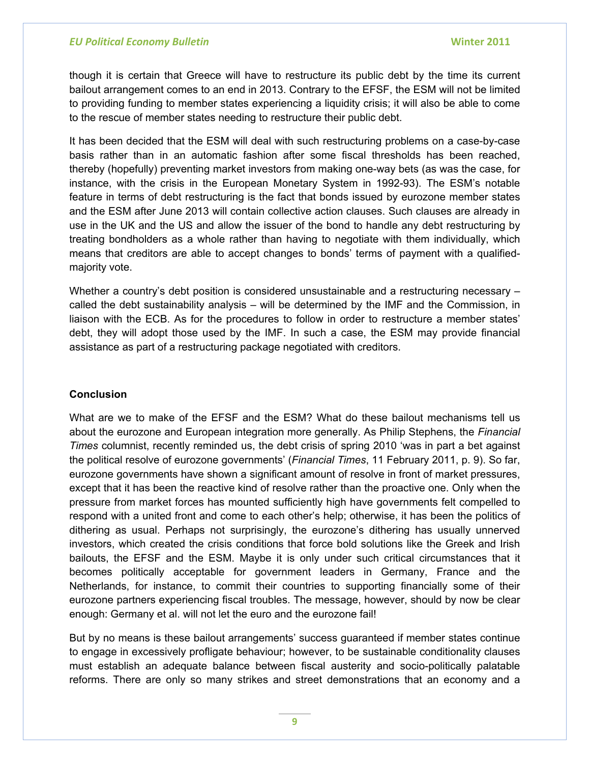though it is certain that Greece will have to restructure its public debt by the time its current bailout arrangement comes to an end in 2013. Contrary to the EFSF, the ESM will not be limited to providing funding to member states experiencing a liquidity crisis; it will also be able to come to the rescue of member states needing to restructure their public debt.

It has been decided that the ESM will deal with such restructuring problems on a case-by-case basis rather than in an automatic fashion after some fiscal thresholds has been reached, thereby (hopefully) preventing market investors from making one-way bets (as was the case, for instance, with the crisis in the European Monetary System in 1992-93). The ESM's notable feature in terms of debt restructuring is the fact that bonds issued by eurozone member states and the ESM after June 2013 will contain collective action clauses. Such clauses are already in use in the UK and the US and allow the issuer of the bond to handle any debt restructuring by treating bondholders as a whole rather than having to negotiate with them individually, which means that creditors are able to accept changes to bonds' terms of payment with a qualifiedmajority vote.

Whether a country's debt position is considered unsustainable and a restructuring necessary – called the debt sustainability analysis – will be determined by the IMF and the Commission, in liaison with the ECB. As for the procedures to follow in order to restructure a member states' debt, they will adopt those used by the IMF. In such a case, the ESM may provide financial assistance as part of a restructuring package negotiated with creditors.

### **Conclusion**

What are we to make of the EFSF and the ESM? What do these bailout mechanisms tell us about the eurozone and European integration more generally. As Philip Stephens, the *Financial Times* columnist, recently reminded us, the debt crisis of spring 2010 'was in part a bet against the political resolve of eurozone governments' (*Financial Times*, 11 February 2011, p. 9). So far, eurozone governments have shown a significant amount of resolve in front of market pressures, except that it has been the reactive kind of resolve rather than the proactive one. Only when the pressure from market forces has mounted sufficiently high have governments felt compelled to respond with a united front and come to each other's help; otherwise, it has been the politics of dithering as usual. Perhaps not surprisingly, the eurozone's dithering has usually unnerved investors, which created the crisis conditions that force bold solutions like the Greek and Irish bailouts, the EFSF and the ESM. Maybe it is only under such critical circumstances that it becomes politically acceptable for government leaders in Germany, France and the Netherlands, for instance, to commit their countries to supporting financially some of their eurozone partners experiencing fiscal troubles. The message, however, should by now be clear enough: Germany et al. will not let the euro and the eurozone fail!

But by no means is these bailout arrangements' success guaranteed if member states continue to engage in excessively profligate behaviour; however, to be sustainable conditionality clauses must establish an adequate balance between fiscal austerity and socio-politically palatable reforms. There are only so many strikes and street demonstrations that an economy and a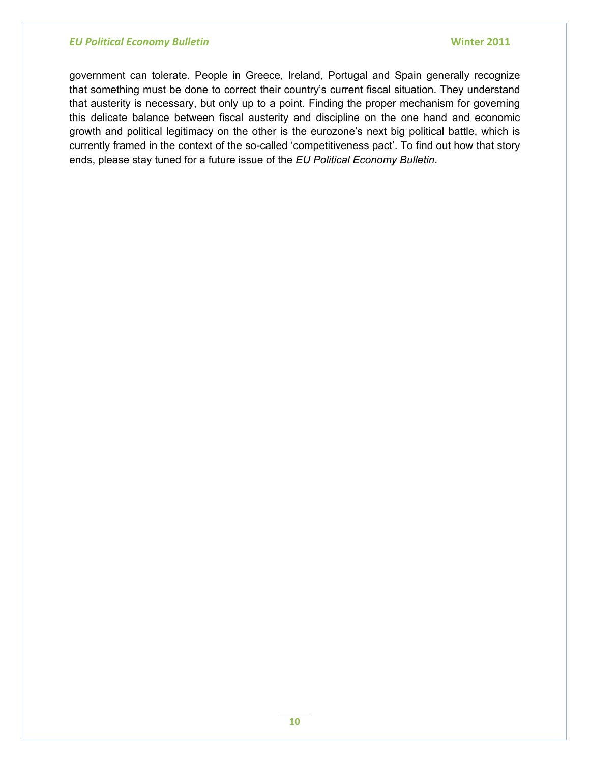government can tolerate. People in Greece, Ireland, Portugal and Spain generally recognize that something must be done to correct their country's current fiscal situation. They understand that austerity is necessary, but only up to a point. Finding the proper mechanism for governing this delicate balance between fiscal austerity and discipline on the one hand and economic growth and political legitimacy on the other is the eurozone's next big political battle, which is currently framed in the context of the so-called 'competitiveness pact'. To find out how that story ends, please stay tuned for a future issue of the *EU Political Economy Bulletin*.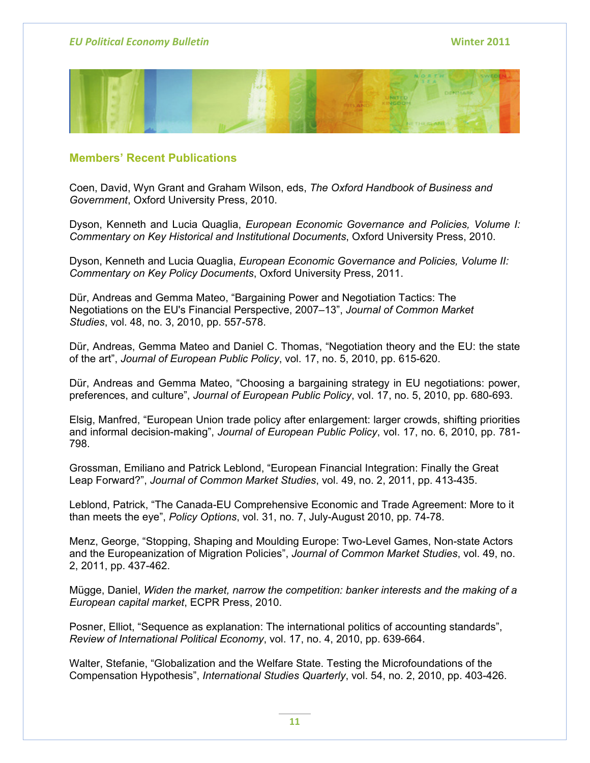

# **Members' Recent Publications**

Coen, David, Wyn Grant and Graham Wilson, eds, *The Oxford Handbook of Business and Government*, Oxford University Press, 2010.

Dyson, Kenneth and Lucia Quaglia, *European Economic Governance and Policies, Volume I: Commentary on Key Historical and Institutional Documents*, Oxford University Press, 2010.

Dyson, Kenneth and Lucia Quaglia, *European Economic Governance and Policies, Volume II: Commentary on Key Policy Documents*, Oxford University Press, 2011.

Dür, Andreas and Gemma Mateo, "Bargaining Power and Negotiation Tactics: The Negotiations on the EU's Financial Perspective, 2007–13", *Journal of Common Market Studies*, vol. 48, no. 3, 2010, pp. 557-578.

Dür, Andreas, Gemma Mateo and Daniel C. Thomas, "Negotiation theory and the EU: the state of the art", *Journal of European Public Policy*, vol. 17, no. 5, 2010, pp. 615-620.

Dür, Andreas and Gemma Mateo, "Choosing a bargaining strategy in EU negotiations: power, preferences, and culture", *Journal of European Public Policy*, vol. 17, no. 5, 2010, pp. 680-693.

Elsig, Manfred, "European Union trade policy after enlargement: larger crowds, shifting priorities and informal decision-making", *Journal of European Public Policy*, vol. 17, no. 6, 2010, pp. 781- 798.

Grossman, Emiliano and Patrick Leblond, "European Financial Integration: Finally the Great Leap Forward?", *Journal of Common Market Studies*, vol. 49, no. 2, 2011, pp. 413-435.

Leblond, Patrick, "The Canada-EU Comprehensive Economic and Trade Agreement: More to it than meets the eye", *Policy Options*, vol. 31, no. 7, July-August 2010, pp. 74-78.

Menz, George, "Stopping, Shaping and Moulding Europe: Two-Level Games, Non-state Actors and the Europeanization of Migration Policies", *Journal of Common Market Studies*, vol. 49, no. 2, 2011, pp. 437-462.

Mügge, Daniel, *Widen the market, narrow the competition: banker interests and the making of a European capital market*, ECPR Press, 2010.

Posner, Elliot, "Sequence as explanation: The international politics of accounting standards", *Review of International Political Economy*, vol. 17, no. 4, 2010, pp. 639-664.

Walter, Stefanie, "Globalization and the Welfare State. Testing the Microfoundations of the Compensation Hypothesis", *International Studies Quarterly*, vol. 54, no. 2, 2010, pp. 403-426.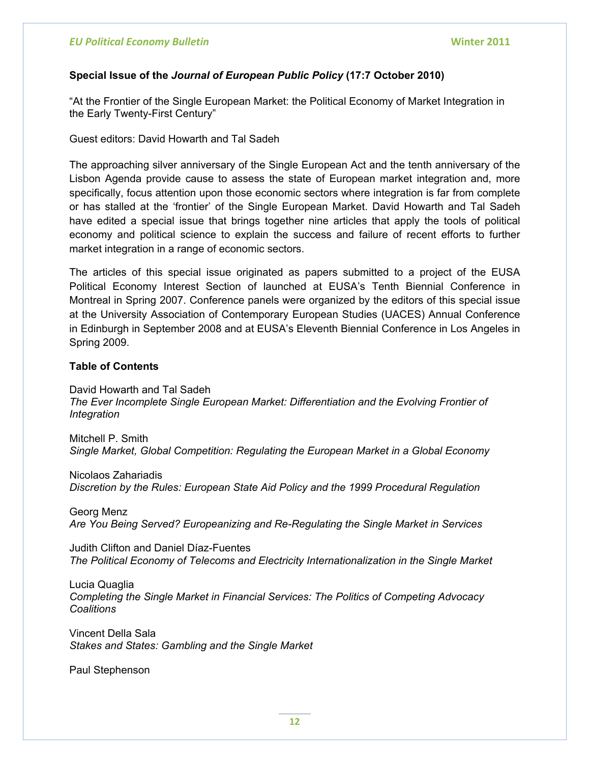## **Special Issue of the** *Journal of European Public Policy* **(17:7 October 2010)**

"At the Frontier of the Single European Market: the Political Economy of Market Integration in the Early Twenty-First Century"

Guest editors: David Howarth and Tal Sadeh

The approaching silver anniversary of the Single European Act and the tenth anniversary of the Lisbon Agenda provide cause to assess the state of European market integration and, more specifically, focus attention upon those economic sectors where integration is far from complete or has stalled at the 'frontier' of the Single European Market. David Howarth and Tal Sadeh have edited a special issue that brings together nine articles that apply the tools of political economy and political science to explain the success and failure of recent efforts to further market integration in a range of economic sectors.

The articles of this special issue originated as papers submitted to a project of the EUSA Political Economy Interest Section of launched at EUSA's Tenth Biennial Conference in Montreal in Spring 2007. Conference panels were organized by the editors of this special issue at the University Association of Contemporary European Studies (UACES) Annual Conference in Edinburgh in September 2008 and at EUSA's Eleventh Biennial Conference in Los Angeles in Spring 2009.

### **Table of Contents**

David Howarth and Tal Sadeh *The Ever Incomplete Single European Market: Differentiation and the Evolving Frontier of Integration* 

Mitchell P. Smith *Single Market, Global Competition: Regulating the European Market in a Global Economy* 

Nicolaos Zahariadis *Discretion by the Rules: European State Aid Policy and the 1999 Procedural Regulation* 

Georg Menz *Are You Being Served? Europeanizing and Re-Regulating the Single Market in Services* 

Judith Clifton and Daniel Díaz-Fuentes *The Political Economy of Telecoms and Electricity Internationalization in the Single Market* 

Lucia Quaglia *Completing the Single Market in Financial Services: The Politics of Competing Advocacy Coalitions* 

Vincent Della Sala *Stakes and States: Gambling and the Single Market* 

Paul Stephenson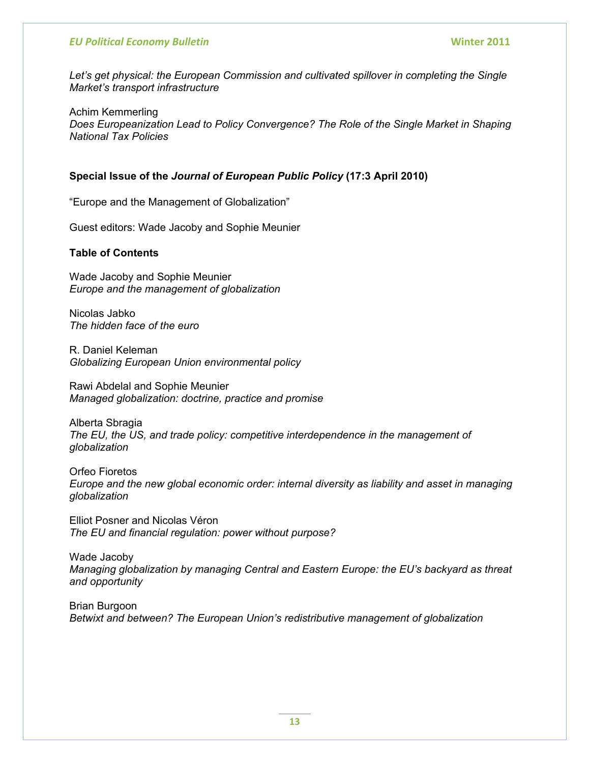Let's get physical: the European Commission and cultivated spillover in completing the Single *Market's transport infrastructure* 

Achim Kemmerling *Does Europeanization Lead to Policy Convergence? The Role of the Single Market in Shaping National Tax Policies* 

### **Special Issue of the** *Journal of European Public Policy* **(17:3 April 2010)**

"Europe and the Management of Globalization"

Guest editors: Wade Jacoby and Sophie Meunier

#### **Table of Contents**

Wade Jacoby and Sophie Meunier *Europe and the management of globalization* 

Nicolas Jabko *The hidden face of the euro* 

R. Daniel Keleman *Globalizing European Union environmental policy* 

Rawi Abdelal and Sophie Meunier *Managed globalization: doctrine, practice and promise* 

Alberta Sbragia *The EU, the US, and trade policy: competitive interdependence in the management of globalization* 

Orfeo Fioretos *Europe and the new global economic order: internal diversity as liability and asset in managing globalization* 

Elliot Posner and Nicolas Véron *The EU and financial regulation: power without purpose?* 

Wade Jacoby *Managing globalization by managing Central and Eastern Europe: the EU's backyard as threat and opportunity* 

Brian Burgoon *Betwixt and between? The European Union's redistributive management of globalization*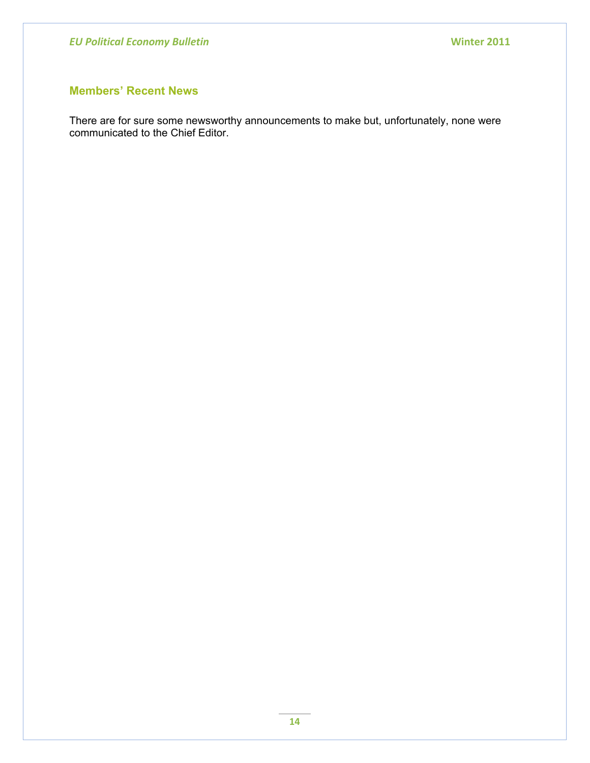# **Members' Recent News**

There are for sure some newsworthy announcements to make but, unfortunately, none were communicated to the Chief Editor.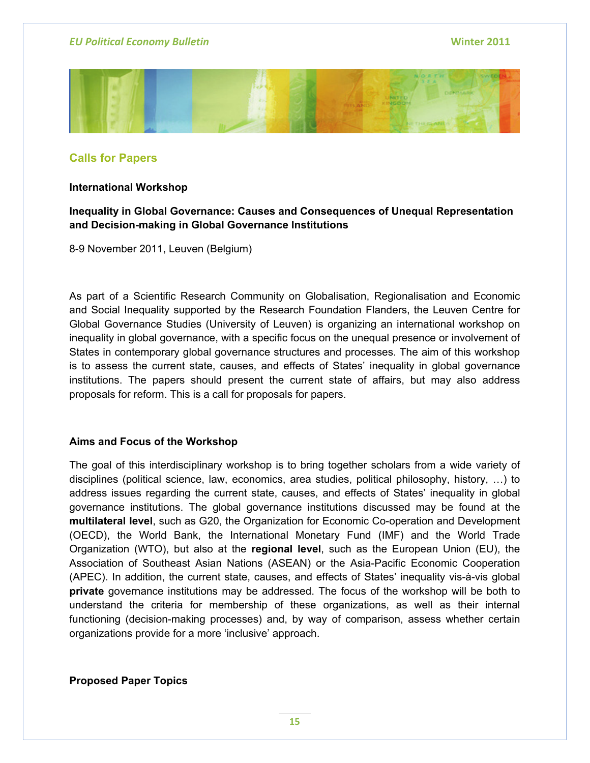

# **Calls for Papers**

### **International Workshop**

# **Inequality in Global Governance: Causes and Consequences of Unequal Representation and Decision-making in Global Governance Institutions**

8-9 November 2011, Leuven (Belgium)

As part of a Scientific Research Community on Globalisation, Regionalisation and Economic and Social Inequality supported by the Research Foundation Flanders, the Leuven Centre for Global Governance Studies (University of Leuven) is organizing an international workshop on inequality in global governance, with a specific focus on the unequal presence or involvement of States in contemporary global governance structures and processes. The aim of this workshop is to assess the current state, causes, and effects of States' inequality in global governance institutions. The papers should present the current state of affairs, but may also address proposals for reform. This is a call for proposals for papers.

### **Aims and Focus of the Workshop**

The goal of this interdisciplinary workshop is to bring together scholars from a wide variety of disciplines (political science, law, economics, area studies, political philosophy, history, …) to address issues regarding the current state, causes, and effects of States' inequality in global governance institutions. The global governance institutions discussed may be found at the **multilateral level**, such as G20, the Organization for Economic Co-operation and Development (OECD), the World Bank, the International Monetary Fund (IMF) and the World Trade Organization (WTO), but also at the **regional level**, such as the European Union (EU), the Association of Southeast Asian Nations (ASEAN) or the Asia-Pacific Economic Cooperation (APEC). In addition, the current state, causes, and effects of States' inequality vis-à-vis global **private** governance institutions may be addressed. The focus of the workshop will be both to understand the criteria for membership of these organizations, as well as their internal functioning (decision-making processes) and, by way of comparison, assess whether certain organizations provide for a more 'inclusive' approach.

**Proposed Paper Topics**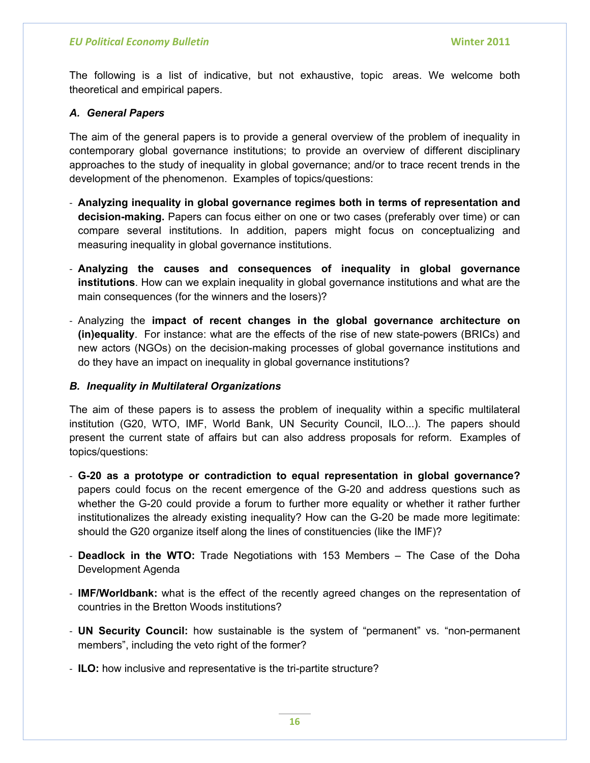The following is a list of indicative, but not exhaustive, topic areas. We welcome both theoretical and empirical papers.

## *A. General Papers*

The aim of the general papers is to provide a general overview of the problem of inequality in contemporary global governance institutions; to provide an overview of different disciplinary approaches to the study of inequality in global governance; and/or to trace recent trends in the development of the phenomenon. Examples of topics/questions:

- ‐ **Analyzing inequality in global governance regimes both in terms of representation and decision-making.** Papers can focus either on one or two cases (preferably over time) or can compare several institutions. In addition, papers might focus on conceptualizing and measuring inequality in global governance institutions.
- ‐ **Analyzing the causes and consequences of inequality in global governance institutions**. How can we explain inequality in global governance institutions and what are the main consequences (for the winners and the losers)?
- ‐ Analyzing the **impact of recent changes in the global governance architecture on (in)equality**. For instance: what are the effects of the rise of new state-powers (BRICs) and new actors (NGOs) on the decision-making processes of global governance institutions and do they have an impact on inequality in global governance institutions?

## *B. Inequality in Multilateral Organizations*

The aim of these papers is to assess the problem of inequality within a specific multilateral institution (G20, WTO, IMF, World Bank, UN Security Council, ILO...). The papers should present the current state of affairs but can also address proposals for reform. Examples of topics/questions:

- ‐ **G-20 as a prototype or contradiction to equal representation in global governance?**  papers could focus on the recent emergence of the G-20 and address questions such as whether the G-20 could provide a forum to further more equality or whether it rather further institutionalizes the already existing inequality? How can the G-20 be made more legitimate: should the G20 organize itself along the lines of constituencies (like the IMF)?
- ‐ **Deadlock in the WTO:** Trade Negotiations with 153 Members The Case of the Doha Development Agenda
- ‐ **IMF/Worldbank:** what is the effect of the recently agreed changes on the representation of countries in the Bretton Woods institutions?
- ‐ **UN Security Council:** how sustainable is the system of "permanent" vs. "non-permanent members", including the veto right of the former?
- ‐ **ILO:** how inclusive and representative is the tri-partite structure?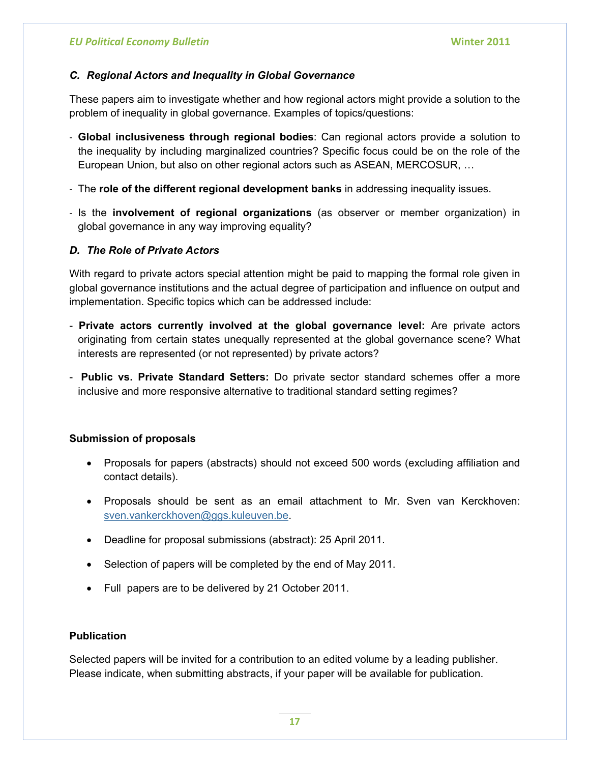# *C. Regional Actors and Inequality in Global Governance*

These papers aim to investigate whether and how regional actors might provide a solution to the problem of inequality in global governance. Examples of topics/questions:

- ‐ **Global inclusiveness through regional bodies**: Can regional actors provide a solution to the inequality by including marginalized countries? Specific focus could be on the role of the European Union, but also on other regional actors such as ASEAN, MERCOSUR, …
- ‐ The **role of the different regional development banks** in addressing inequality issues.
- ‐ Is the **involvement of regional organizations** (as observer or member organization) in global governance in any way improving equality?

# *D. The Role of Private Actors*

With regard to private actors special attention might be paid to mapping the formal role given in global governance institutions and the actual degree of participation and influence on output and implementation. Specific topics which can be addressed include:

- **Private actors currently involved at the global governance level:** Are private actors originating from certain states unequally represented at the global governance scene? What interests are represented (or not represented) by private actors?
- **Public vs. Private Standard Setters:** Do private sector standard schemes offer a more inclusive and more responsive alternative to traditional standard setting regimes?

# **Submission of proposals**

- Proposals for papers (abstracts) should not exceed 500 words (excluding affiliation and contact details).
- Proposals should be sent as an email attachment to Mr. Sven van Kerckhoven: [sven.vankerckhoven@ggs.kuleuven.be.](mailto:sven.vankerckhoven@ggs.kuleuven.be)
- Deadline for proposal submissions (abstract): 25 April 2011.
- Selection of papers will be completed by the end of May 2011.
- Full papers are to be delivered by 21 October 2011.

# **Publication**

Selected papers will be invited for a contribution to an edited volume by a leading publisher. Please indicate, when submitting abstracts, if your paper will be available for publication.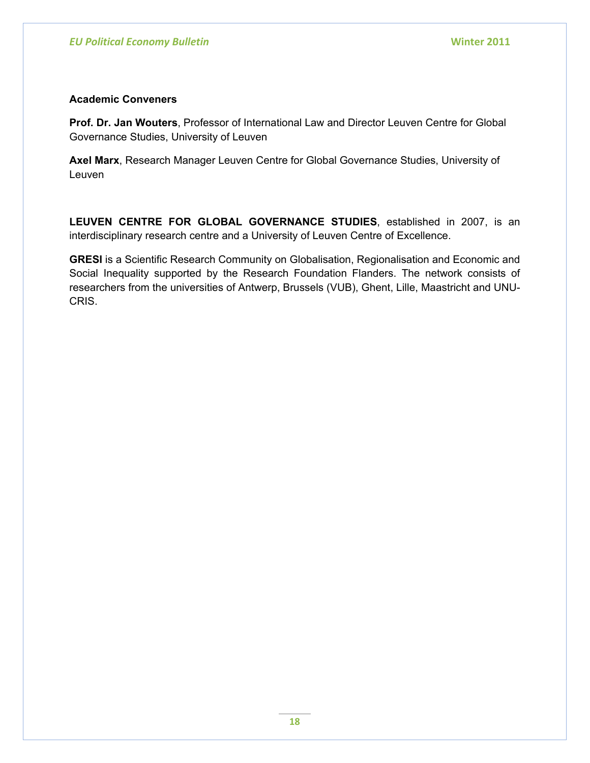## **Academic Conveners**

**Prof. Dr. Jan Wouters**, Professor of International Law and Director Leuven Centre for Global Governance Studies, University of Leuven

**Axel Marx**, Research Manager Leuven Centre for Global Governance Studies, University of Leuven

**LEUVEN CENTRE FOR GLOBAL GOVERNANCE STUDIES**, established in 2007, is an interdisciplinary research centre and a University of Leuven Centre of Excellence.

**GRESI** is a Scientific Research Community on Globalisation, Regionalisation and Economic and Social Inequality supported by the Research Foundation Flanders. The network consists of researchers from the universities of Antwerp, Brussels (VUB), Ghent, Lille, Maastricht and UNU-CRIS.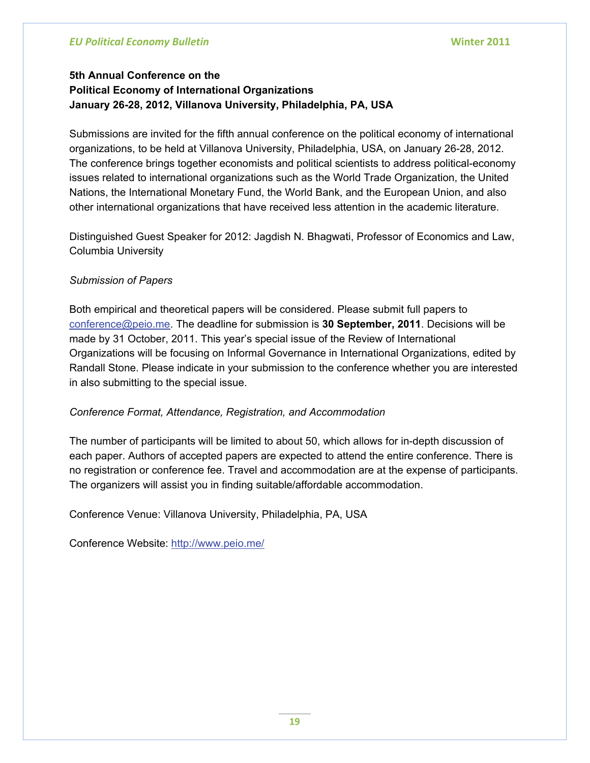# **5th Annual Conference on the Political Economy of International Organizations January 26-28, 2012, Villanova University, Philadelphia, PA, USA**

Submissions are invited for the fifth annual conference on the political economy of international organizations, to be held at Villanova University, Philadelphia, USA, on January 26-28, 2012. The conference brings together economists and political scientists to address political-economy issues related to international organizations such as the World Trade Organization, the United Nations, the International Monetary Fund, the World Bank, and the European Union, and also other international organizations that have received less attention in the academic literature.

Distinguished Guest Speaker for 2012: Jagdish N. Bhagwati, Professor of Economics and Law, Columbia University

# *Submission of Papers*

Both empirical and theoretical papers will be considered. Please submit full papers to [conference@peio.me.](mailto:conference@peio.me) The deadline for submission is **30 September, 2011**. Decisions will be made by 31 October, 2011. This year's special issue of the Review of International Organizations will be focusing on Informal Governance in International Organizations, edited by Randall Stone. Please indicate in your submission to the conference whether you are interested in also submitting to the special issue.

# *Conference Format, Attendance, Registration, and Accommodation*

The number of participants will be limited to about 50, which allows for in-depth discussion of each paper. Authors of accepted papers are expected to attend the entire conference. There is no registration or conference fee. Travel and accommodation are at the expense of participants. The organizers will assist you in finding suitable/affordable accommodation.

Conference Venue: Villanova University, Philadelphia, PA, USA

Conference Website: <http://www.peio.me/>